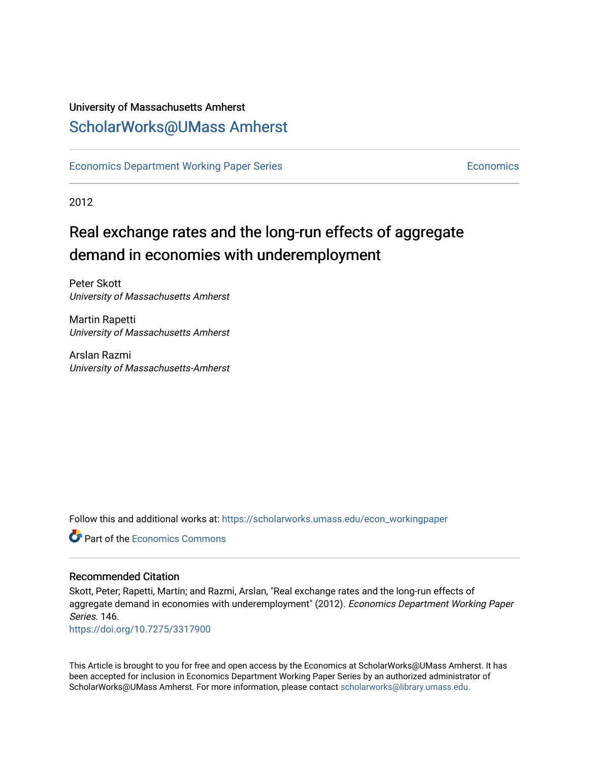### University of Massachusetts Amherst [ScholarWorks@UMass Amherst](https://scholarworks.umass.edu/)

[Economics Department Working Paper Series](https://scholarworks.umass.edu/econ_workingpaper) **Economics** [Economics](https://scholarworks.umass.edu/economics) Economics

2012

# Real exchange rates and the long-run effects of aggregate demand in economies with underemployment

Peter Skott University of Massachusetts Amherst

Martin Rapetti University of Massachusetts Amherst

Arslan Razmi University of Massachusetts-Amherst

Follow this and additional works at: [https://scholarworks.umass.edu/econ\\_workingpaper](https://scholarworks.umass.edu/econ_workingpaper?utm_source=scholarworks.umass.edu%2Fecon_workingpaper%2F146&utm_medium=PDF&utm_campaign=PDFCoverPages) 

**C** Part of the [Economics Commons](http://network.bepress.com/hgg/discipline/340?utm_source=scholarworks.umass.edu%2Fecon_workingpaper%2F146&utm_medium=PDF&utm_campaign=PDFCoverPages)

#### Recommended Citation

Skott, Peter; Rapetti, Martin; and Razmi, Arslan, "Real exchange rates and the long-run effects of aggregate demand in economies with underemployment" (2012). Economics Department Working Paper Series. 146.

<https://doi.org/10.7275/3317900>

This Article is brought to you for free and open access by the Economics at ScholarWorks@UMass Amherst. It has been accepted for inclusion in Economics Department Working Paper Series by an authorized administrator of ScholarWorks@UMass Amherst. For more information, please contact [scholarworks@library.umass.edu.](mailto:scholarworks@library.umass.edu)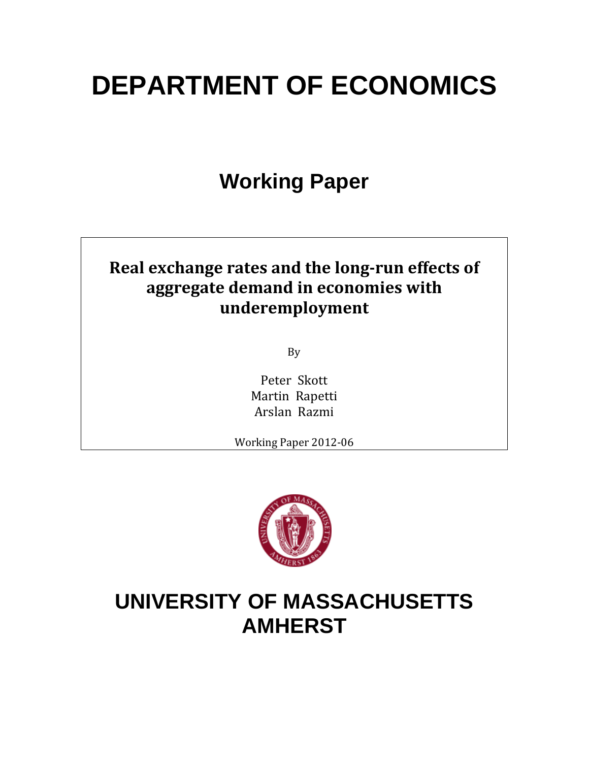# **DEPARTMENT OF ECONOMICS**

# **Working Paper**

# **Real exchange rates and the long‐run effects of aggregate demand in economies with underemployment**

By 

Peter Skott Martin Rapetti Arslan Razmi

Working Paper 2012-06



# **UNIVERSITY OF MASSACHUSETTS AMHERST**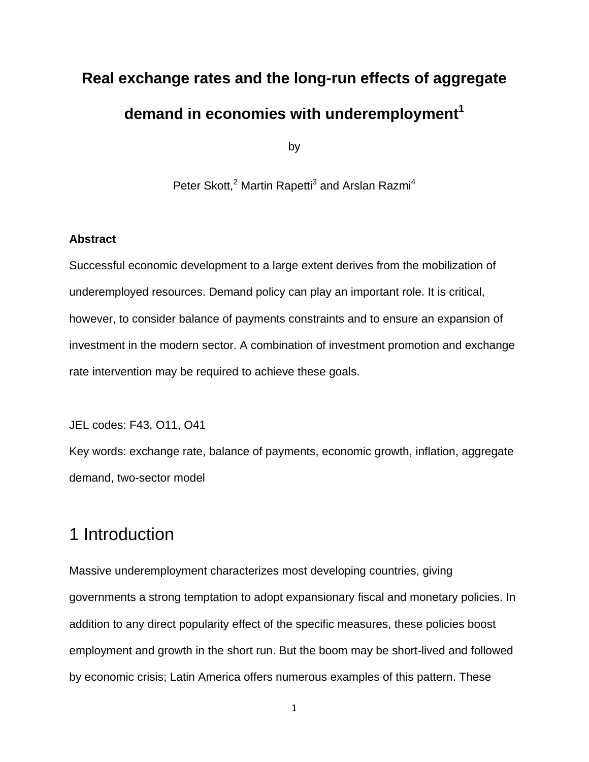# **Real exchange rates and the long-run effects of aggregate**  demand in economies with underemployment<sup>1</sup>

by

Peter Skott,<sup>2</sup> Martin Rapetti<sup>3</sup> and Arslan Razmi<sup>4</sup>

#### **Abstract**

Successful economic development to a large extent derives from the mobilization of underemployed resources. Demand policy can play an important role. It is critical, however, to consider balance of payments constraints and to ensure an expansion of investment in the modern sector. A combination of investment promotion and exchange rate intervention may be required to achieve these goals.

JEL codes: F43, O11, O41

Key words: exchange rate, balance of payments, economic growth, inflation, aggregate demand, two-sector model

## 1 Introduction

Massive underemployment characterizes most developing countries, giving governments a strong temptation to adopt expansionary fiscal and monetary policies. In addition to any direct popularity effect of the specific measures, these policies boost employment and growth in the short run. But the boom may be short-lived and followed by economic crisis; Latin America offers numerous examples of this pattern. These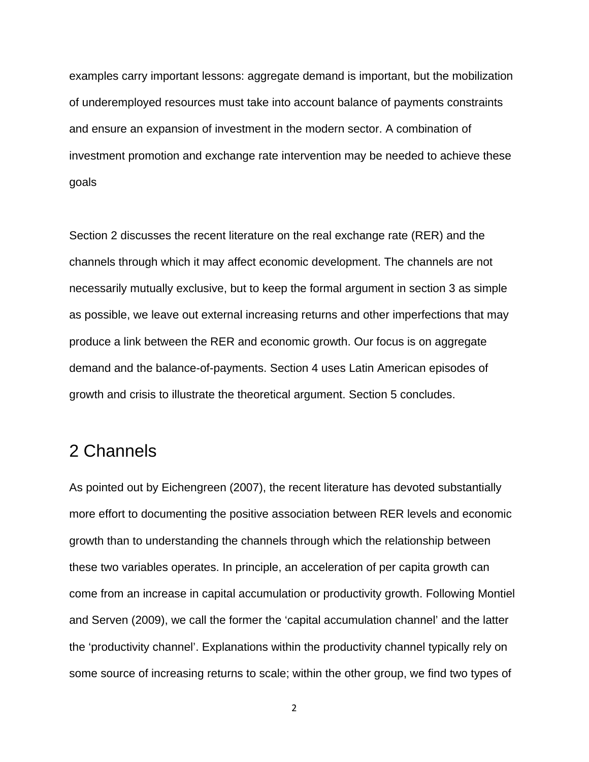examples carry important lessons: aggregate demand is important, but the mobilization of underemployed resources must take into account balance of payments constraints and ensure an expansion of investment in the modern sector. A combination of investment promotion and exchange rate intervention may be needed to achieve these goals

Section 2 discusses the recent literature on the real exchange rate (RER) and the channels through which it may affect economic development. The channels are not necessarily mutually exclusive, but to keep the formal argument in section 3 as simple as possible, we leave out external increasing returns and other imperfections that may produce a link between the RER and economic growth. Our focus is on aggregate demand and the balance-of-payments. Section 4 uses Latin American episodes of growth and crisis to illustrate the theoretical argument. Section 5 concludes.

## 2 Channels

As pointed out by Eichengreen (2007), the recent literature has devoted substantially more effort to documenting the positive association between RER levels and economic growth than to understanding the channels through which the relationship between these two variables operates. In principle, an acceleration of per capita growth can come from an increase in capital accumulation or productivity growth. Following Montiel and Serven (2009), we call the former the 'capital accumulation channel' and the latter the 'productivity channel'. Explanations within the productivity channel typically rely on some source of increasing returns to scale; within the other group, we find two types of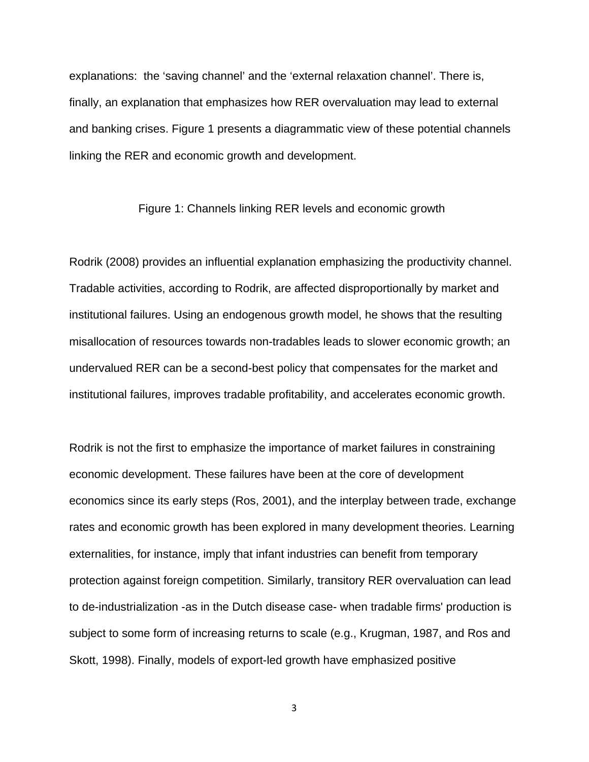explanations: the 'saving channel' and the 'external relaxation channel'. There is, finally, an explanation that emphasizes how RER overvaluation may lead to external and banking crises. Figure 1 presents a diagrammatic view of these potential channels linking the RER and economic growth and development.

#### Figure 1: Channels linking RER levels and economic growth

Rodrik (2008) provides an influential explanation emphasizing the productivity channel. Tradable activities, according to Rodrik, are affected disproportionally by market and institutional failures. Using an endogenous growth model, he shows that the resulting misallocation of resources towards non-tradables leads to slower economic growth; an undervalued RER can be a second-best policy that compensates for the market and institutional failures, improves tradable profitability, and accelerates economic growth.

Rodrik is not the first to emphasize the importance of market failures in constraining economic development. These failures have been at the core of development economics since its early steps (Ros, 2001), and the interplay between trade, exchange rates and economic growth has been explored in many development theories. Learning externalities, for instance, imply that infant industries can benefit from temporary protection against foreign competition. Similarly, transitory RER overvaluation can lead to de-industrialization -as in the Dutch disease case- when tradable firms' production is subject to some form of increasing returns to scale (e.g., Krugman, 1987, and Ros and Skott, 1998). Finally, models of export-led growth have emphasized positive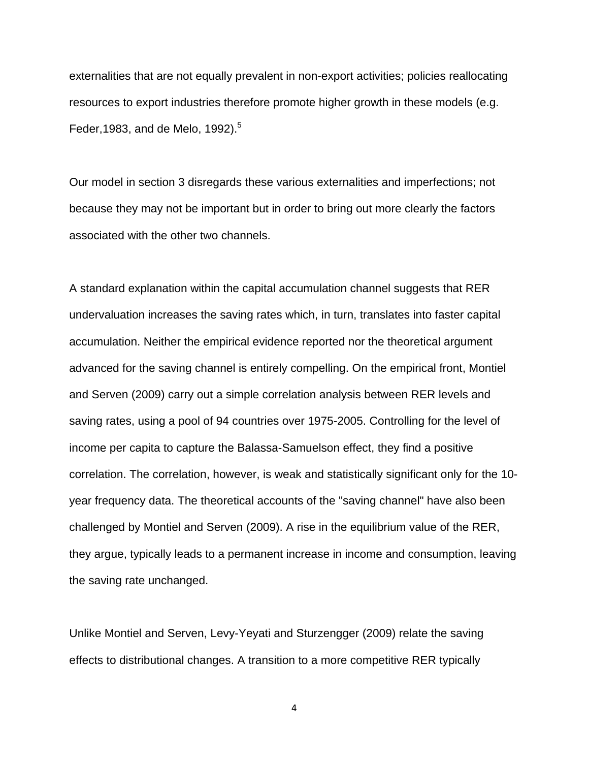externalities that are not equally prevalent in non-export activities; policies reallocating resources to export industries therefore promote higher growth in these models (e.g. Feder, 1983, and de Melo,  $1992$ ).<sup>5</sup>

Our model in section 3 disregards these various externalities and imperfections; not because they may not be important but in order to bring out more clearly the factors associated with the other two channels.

A standard explanation within the capital accumulation channel suggests that RER undervaluation increases the saving rates which, in turn, translates into faster capital accumulation. Neither the empirical evidence reported nor the theoretical argument advanced for the saving channel is entirely compelling. On the empirical front, Montiel and Serven (2009) carry out a simple correlation analysis between RER levels and saving rates, using a pool of 94 countries over 1975-2005. Controlling for the level of income per capita to capture the Balassa-Samuelson effect, they find a positive correlation. The correlation, however, is weak and statistically significant only for the 10 year frequency data. The theoretical accounts of the "saving channel" have also been challenged by Montiel and Serven (2009). A rise in the equilibrium value of the RER, they argue, typically leads to a permanent increase in income and consumption, leaving the saving rate unchanged.

Unlike Montiel and Serven, Levy-Yeyati and Sturzengger (2009) relate the saving effects to distributional changes. A transition to a more competitive RER typically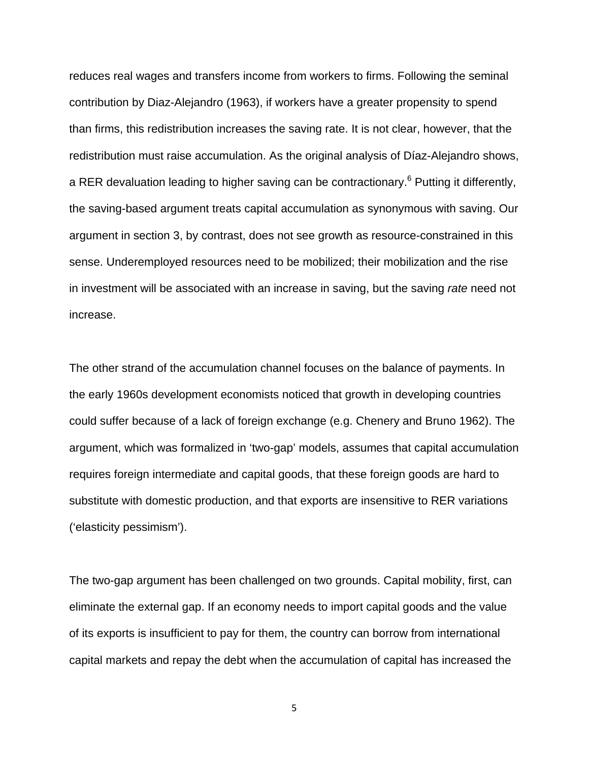reduces real wages and transfers income from workers to firms. Following the seminal contribution by Diaz-Alejandro (1963), if workers have a greater propensity to spend than firms, this redistribution increases the saving rate. It is not clear, however, that the redistribution must raise accumulation. As the original analysis of Díaz-Alejandro shows, a RER devaluation leading to higher saving can be contractionary.<sup>6</sup> Putting it differently, the saving-based argument treats capital accumulation as synonymous with saving. Our argument in section 3, by contrast, does not see growth as resource-constrained in this sense. Underemployed resources need to be mobilized; their mobilization and the rise in investment will be associated with an increase in saving, but the saving *rate* need not increase.

The other strand of the accumulation channel focuses on the balance of payments. In the early 1960s development economists noticed that growth in developing countries could suffer because of a lack of foreign exchange (e.g. Chenery and Bruno 1962). The argument, which was formalized in 'two-gap' models, assumes that capital accumulation requires foreign intermediate and capital goods, that these foreign goods are hard to substitute with domestic production, and that exports are insensitive to RER variations ('elasticity pessimism').

The two-gap argument has been challenged on two grounds. Capital mobility, first, can eliminate the external gap. If an economy needs to import capital goods and the value of its exports is insufficient to pay for them, the country can borrow from international capital markets and repay the debt when the accumulation of capital has increased the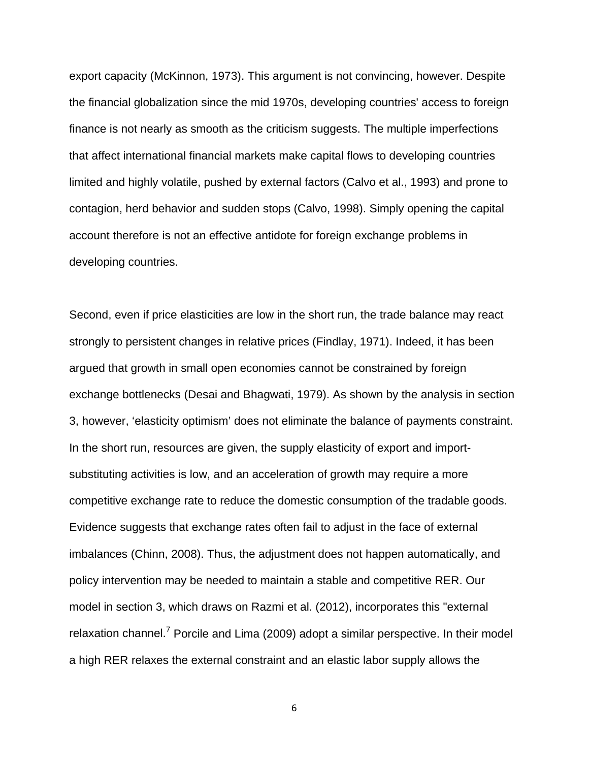export capacity (McKinnon, 1973). This argument is not convincing, however. Despite the financial globalization since the mid 1970s, developing countries' access to foreign finance is not nearly as smooth as the criticism suggests. The multiple imperfections that affect international financial markets make capital flows to developing countries limited and highly volatile, pushed by external factors (Calvo et al., 1993) and prone to contagion, herd behavior and sudden stops (Calvo, 1998). Simply opening the capital account therefore is not an effective antidote for foreign exchange problems in developing countries.

Second, even if price elasticities are low in the short run, the trade balance may react strongly to persistent changes in relative prices (Findlay, 1971). Indeed, it has been argued that growth in small open economies cannot be constrained by foreign exchange bottlenecks (Desai and Bhagwati, 1979). As shown by the analysis in section 3, however, 'elasticity optimism' does not eliminate the balance of payments constraint. In the short run, resources are given, the supply elasticity of export and importsubstituting activities is low, and an acceleration of growth may require a more competitive exchange rate to reduce the domestic consumption of the tradable goods. Evidence suggests that exchange rates often fail to adjust in the face of external imbalances (Chinn, 2008). Thus, the adjustment does not happen automatically, and policy intervention may be needed to maintain a stable and competitive RER. Our model in section 3, which draws on Razmi et al. (2012), incorporates this "external relaxation channel.<sup>7</sup> Porcile and Lima (2009) adopt a similar perspective. In their model a high RER relaxes the external constraint and an elastic labor supply allows the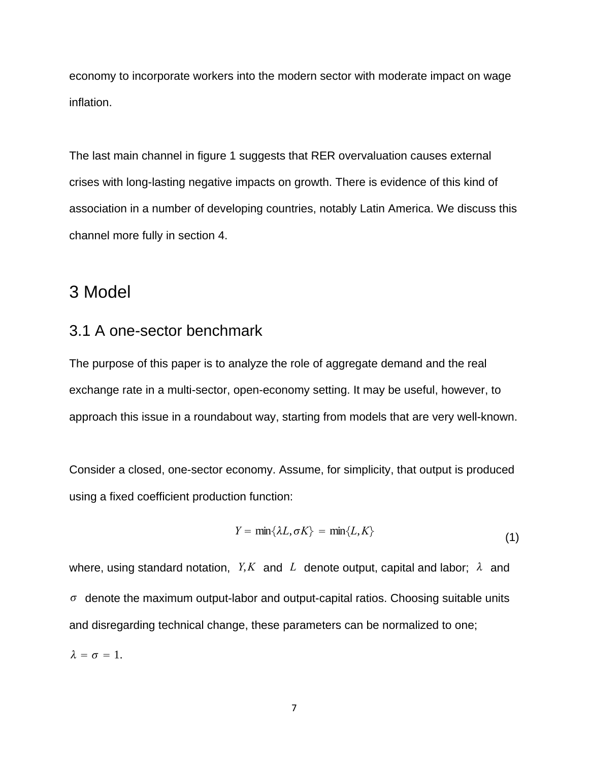economy to incorporate workers into the modern sector with moderate impact on wage inflation.

The last main channel in figure 1 suggests that RER overvaluation causes external crises with long-lasting negative impacts on growth. There is evidence of this kind of association in a number of developing countries, notably Latin America. We discuss this channel more fully in section 4.

### 3 Model

#### 3.1 A one-sector benchmark

The purpose of this paper is to analyze the role of aggregate demand and the real exchange rate in a multi-sector, open-economy setting. It may be useful, however, to approach this issue in a roundabout way, starting from models that are very well-known.

Consider a closed, one-sector economy. Assume, for simplicity, that output is produced using a fixed coefficient production function:

$$
Y = \min\{\lambda L, \sigma K\} = \min\{L, K\}
$$
 (1)

where, using standard notation, *Y<sub>,</sub>K* and *L* denote output, capital and labor;  $\lambda$  and  $\sigma$  denote the maximum output-labor and output-capital ratios. Choosing suitable units and disregarding technical change, these parameters can be normalized to one;

 $\lambda = \sigma = 1$ .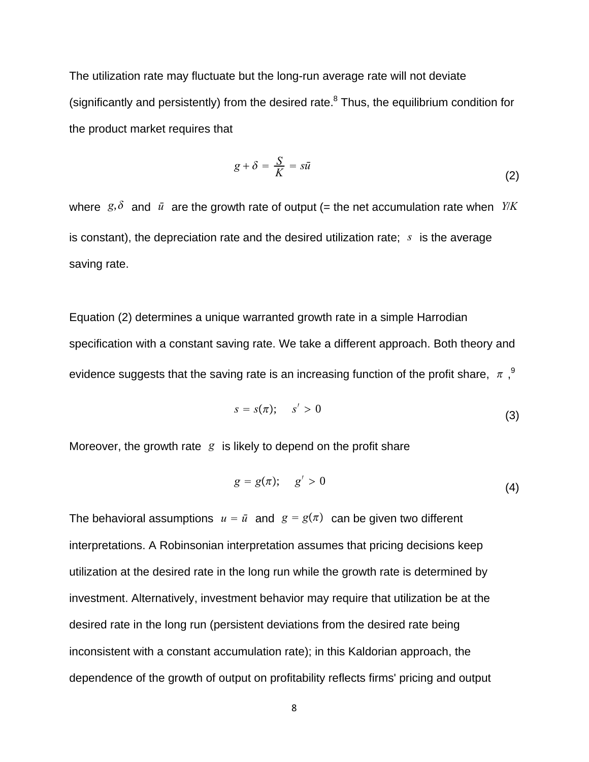The utilization rate may fluctuate but the long-run average rate will not deviate (significantly and persistently) from the desired rate. $8$  Thus, the equilibrium condition for the product market requires that

$$
g + \delta = \frac{S}{K} = s\bar{u}
$$
 (2)

where  $g, \delta$  and  $\bar{u}$  are the growth rate of output (= the net accumulation rate when *Y/K* is constant), the depreciation rate and the desired utilization rate; *s* is the average saving rate.

Equation (2) determines a unique warranted growth rate in a simple Harrodian specification with a constant saving rate. We take a different approach. Both theory and evidence suggests that the saving rate is an increasing function of the profit share,  $\pi$ ,  $9$ 

$$
s = s(\pi); \quad s' > 0 \tag{3}
$$

Moreover, the growth rate *g* is likely to depend on the profit share

$$
g = g(\pi); \quad g' > 0 \tag{4}
$$

The behavioral assumptions  $u = \bar{u}$  and  $g = g(\bar{x})$  can be given two different interpretations. A Robinsonian interpretation assumes that pricing decisions keep utilization at the desired rate in the long run while the growth rate is determined by investment. Alternatively, investment behavior may require that utilization be at the desired rate in the long run (persistent deviations from the desired rate being inconsistent with a constant accumulation rate); in this Kaldorian approach, the dependence of the growth of output on profitability reflects firms' pricing and output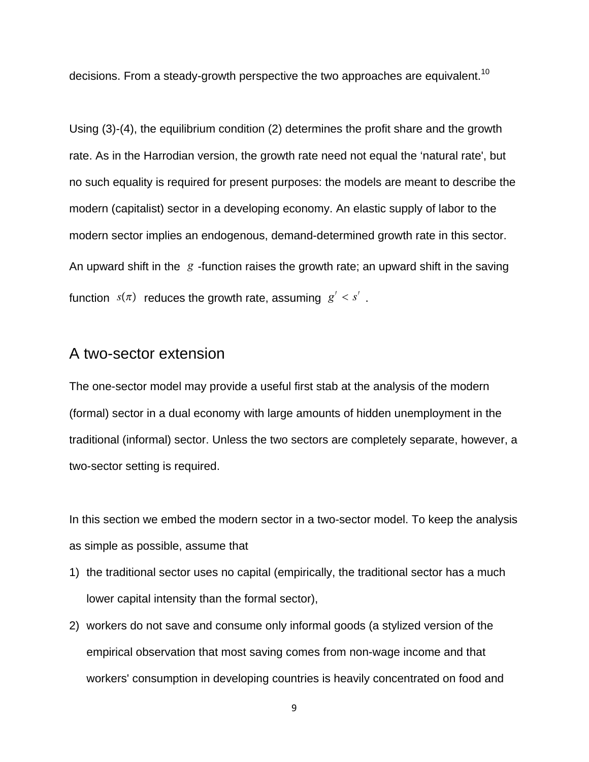decisions. From a steady-growth perspective the two approaches are equivalent.<sup>10</sup>

Using (3)-(4), the equilibrium condition (2) determines the profit share and the growth rate. As in the Harrodian version, the growth rate need not equal the 'natural rate', but no such equality is required for present purposes: the models are meant to describe the modern (capitalist) sector in a developing economy. An elastic supply of labor to the modern sector implies an endogenous, demand-determined growth rate in this sector. An upward shift in the *g* -function raises the growth rate; an upward shift in the saving function  $s(\pi)$  reduces the growth rate, assuming  $g' < s'$ .

#### A two-sector extension

The one-sector model may provide a useful first stab at the analysis of the modern (formal) sector in a dual economy with large amounts of hidden unemployment in the traditional (informal) sector. Unless the two sectors are completely separate, however, a two-sector setting is required.

In this section we embed the modern sector in a two-sector model. To keep the analysis as simple as possible, assume that

- 1) the traditional sector uses no capital (empirically, the traditional sector has a much lower capital intensity than the formal sector),
- 2) workers do not save and consume only informal goods (a stylized version of the empirical observation that most saving comes from non-wage income and that workers' consumption in developing countries is heavily concentrated on food and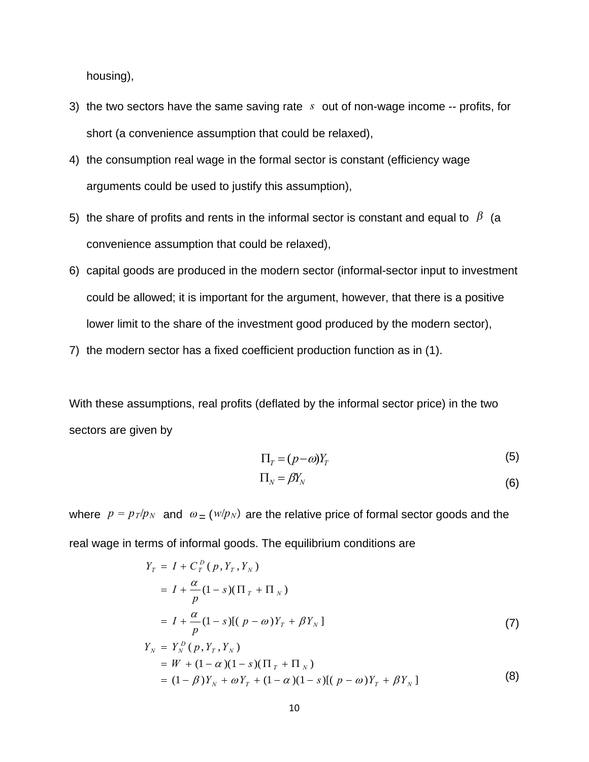housing),

- 3) the two sectors have the same saving rate *s* out of non-wage income -- profits, for short (a convenience assumption that could be relaxed),
- 4) the consumption real wage in the formal sector is constant (efficiency wage arguments could be used to justify this assumption),
- 5) the share of profits and rents in the informal sector is constant and equal to  $\beta$  (a convenience assumption that could be relaxed),
- 6) capital goods are produced in the modern sector (informal-sector input to investment could be allowed; it is important for the argument, however, that there is a positive lower limit to the share of the investment good produced by the modern sector),
- 7) the modern sector has a fixed coefficient production function as in (1).

With these assumptions, real profits (deflated by the informal sector price) in the two sectors are given by

$$
\Pi_T = (p - \omega)Y_T \tag{5}
$$

$$
\Pi_N = \beta Y_N \tag{6}
$$

where  $p = p_T/p_N$  and  $\omega = (w/p_N)$  are the relative price of formal sector goods and the real wage in terms of informal goods. The equilibrium conditions are

$$
Y_T = I + C_T^D (p, Y_T, Y_N)
$$
  
=  $I + \frac{\alpha}{p} (1 - s) (\Pi_T + \Pi_N)$   
=  $I + \frac{\alpha}{p} (1 - s) [(p - \omega)Y_T + \beta Y_N]$  (7)  

$$
Y_N = Y_N^D (p, Y_T, Y_N)
$$
  
=  $W + (1 - \alpha) (1 - s) (\Pi_T + \Pi_N)$   
=  $(1 - \beta)Y_N + \omega Y_T + (1 - \alpha) (1 - s) [(p - \omega)Y_T + \beta Y_N]$  (8)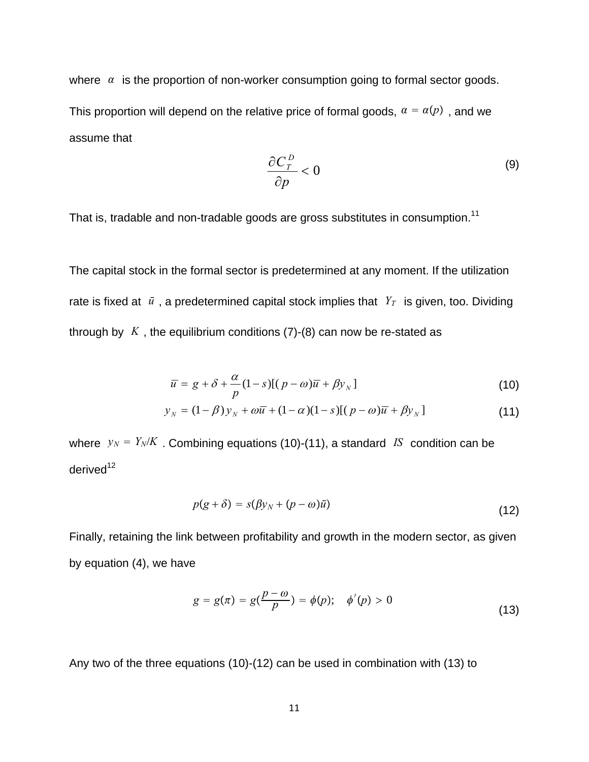where  $\alpha$  is the proportion of non-worker consumption going to formal sector goods. This proportion will depend on the relative price of formal goods,  $\alpha = \alpha(p)$ , and we assume that

$$
\frac{\partial C_r^D}{\partial p} < 0 \tag{9}
$$

That is, tradable and non-tradable goods are gross substitutes in consumption.<sup>11</sup>

The capital stock in the formal sector is predetermined at any moment. If the utilization rate is fixed at  $\bar{u}$ , a predetermined capital stock implies that  $Y_T$  is given, too. Dividing through by  $K$ , the equilibrium conditions  $(7)-(8)$  can now be re-stated as

$$
\overline{u} = g + \delta + \frac{\alpha}{p} (1 - s) [(p - \omega)\overline{u} + \beta y_{N}]
$$
\n(10)

$$
y_N = (1 - \beta)y_N + \omega \overline{u} + (1 - \alpha)(1 - s)[(p - \omega)\overline{u} + \beta y_N]
$$
 (11)

where  $y_N = Y_N/K$ . Combining equations (10)-(11), a standard *IS* condition can be derived $12$ 

$$
p(g+\delta) = s(\beta y_N + (p-\omega)\bar{u})
$$
\n(12)

Finally, retaining the link between profitability and growth in the modern sector, as given by equation (4), we have

$$
g = g(\pi) = g(\frac{p - \omega}{p}) = \phi(p); \quad \phi'(p) > 0
$$
\n(13)

Any two of the three equations (10)-(12) can be used in combination with (13) to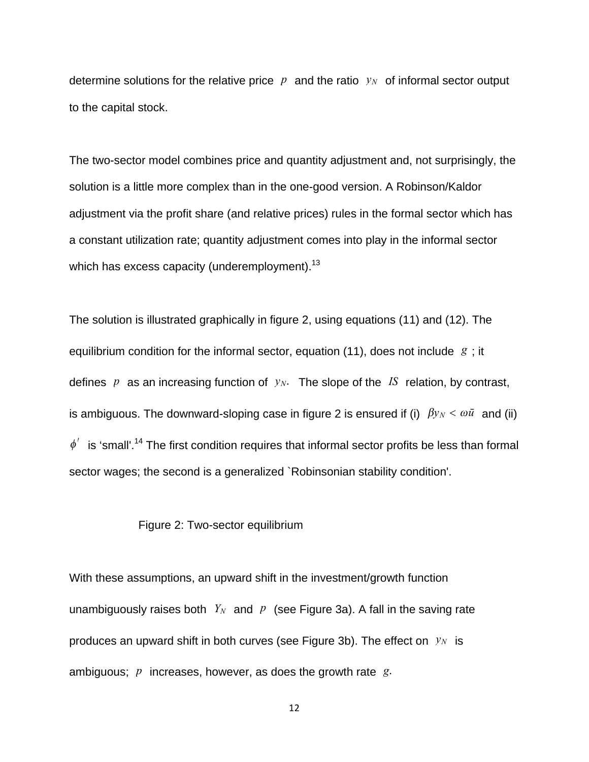determine solutions for the relative price  $p$  and the ratio  $y_N$  of informal sector output to the capital stock.

The two-sector model combines price and quantity adjustment and, not surprisingly, the solution is a little more complex than in the one-good version. A Robinson/Kaldor adjustment via the profit share (and relative prices) rules in the formal sector which has a constant utilization rate; quantity adjustment comes into play in the informal sector which has excess capacity (underemployment).<sup>13</sup>

The solution is illustrated graphically in figure 2, using equations (11) and (12). The equilibrium condition for the informal sector, equation (11), does not include *g* ; it defines  $p$  as an increasing function of  $y_N$ . The slope of the *IS* relation, by contrast, is ambiguous. The downward-sloping case in figure 2 is ensured if (i)  $\beta y_N < \omega \bar{u}$  and (ii)  $\phi'$  is 'small'.<sup>14</sup> The first condition requires that informal sector profits be less than formal sector wages; the second is a generalized `Robinsonian stability condition'.

#### Figure 2: Two-sector equilibrium

With these assumptions, an upward shift in the investment/growth function unambiguously raises both  $Y_N$  and  $p$  (see Figure 3a). A fall in the saving rate produces an upward shift in both curves (see Figure 3b). The effect on  $y_N$  is ambiguous; *p* increases, however, as does the growth rate *g*.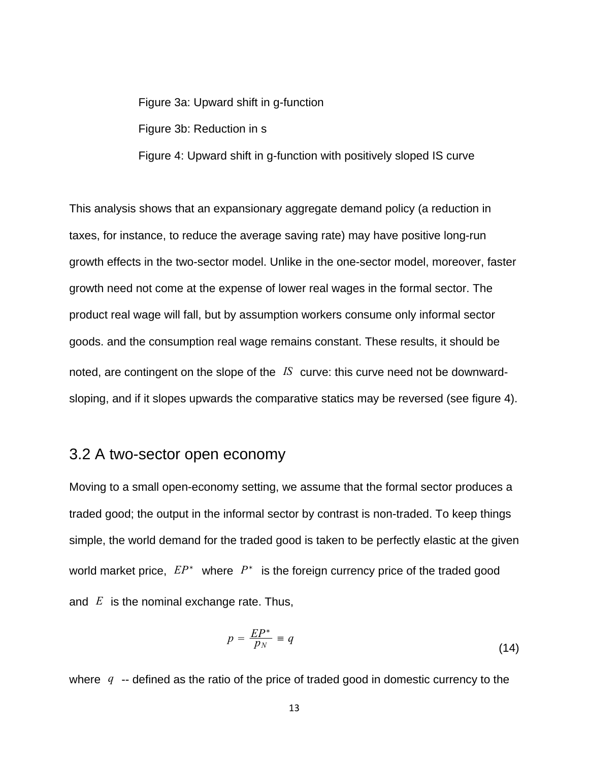Figure 3a: Upward shift in g-function

Figure 3b: Reduction in s

Figure 4: Upward shift in g-function with positively sloped IS curve

This analysis shows that an expansionary aggregate demand policy (a reduction in taxes, for instance, to reduce the average saving rate) may have positive long-run growth effects in the two-sector model. Unlike in the one-sector model, moreover, faster growth need not come at the expense of lower real wages in the formal sector. The product real wage will fall, but by assumption workers consume only informal sector goods. and the consumption real wage remains constant. These results, it should be noted, are contingent on the slope of the *IS* curve: this curve need not be downwardsloping, and if it slopes upwards the comparative statics may be reversed (see figure 4).

#### 3.2 A two-sector open economy

Moving to a small open-economy setting, we assume that the formal sector produces a traded good; the output in the informal sector by contrast is non-traded. To keep things simple, the world demand for the traded good is taken to be perfectly elastic at the given world market price, *EP*<sup>∗</sup> where *P*<sup>∗</sup> is the foreign currency price of the traded good and *E* is the nominal exchange rate. Thus,

$$
p = \frac{EP^*}{p_N} = q \tag{14}
$$

where *q* -- defined as the ratio of the price of traded good in domestic currency to the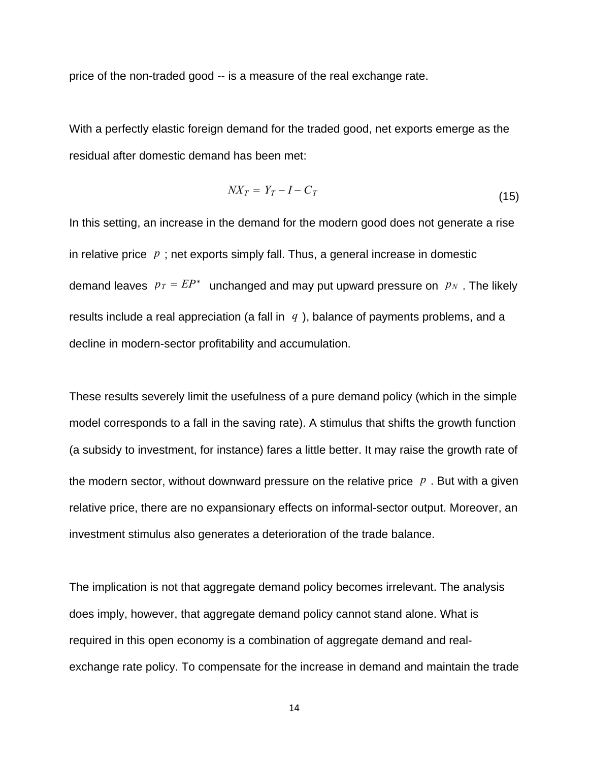price of the non-traded good -- is a measure of the real exchange rate.

With a perfectly elastic foreign demand for the traded good, net exports emerge as the residual after domestic demand has been met:

$$
NX_T = Y_T - I - C_T \tag{15}
$$

In this setting, an increase in the demand for the modern good does not generate a rise in relative price  $p$ ; net exports simply fall. Thus, a general increase in domestic demand leaves  $p_T = EP^*$  unchanged and may put upward pressure on  $p_N$ . The likely results include a real appreciation (a fall in *q* ), balance of payments problems, and a decline in modern-sector profitability and accumulation.

These results severely limit the usefulness of a pure demand policy (which in the simple model corresponds to a fall in the saving rate). A stimulus that shifts the growth function (a subsidy to investment, for instance) fares a little better. It may raise the growth rate of the modern sector, without downward pressure on the relative price *p* . But with a given relative price, there are no expansionary effects on informal-sector output. Moreover, an investment stimulus also generates a deterioration of the trade balance.

The implication is not that aggregate demand policy becomes irrelevant. The analysis does imply, however, that aggregate demand policy cannot stand alone. What is required in this open economy is a combination of aggregate demand and realexchange rate policy. To compensate for the increase in demand and maintain the trade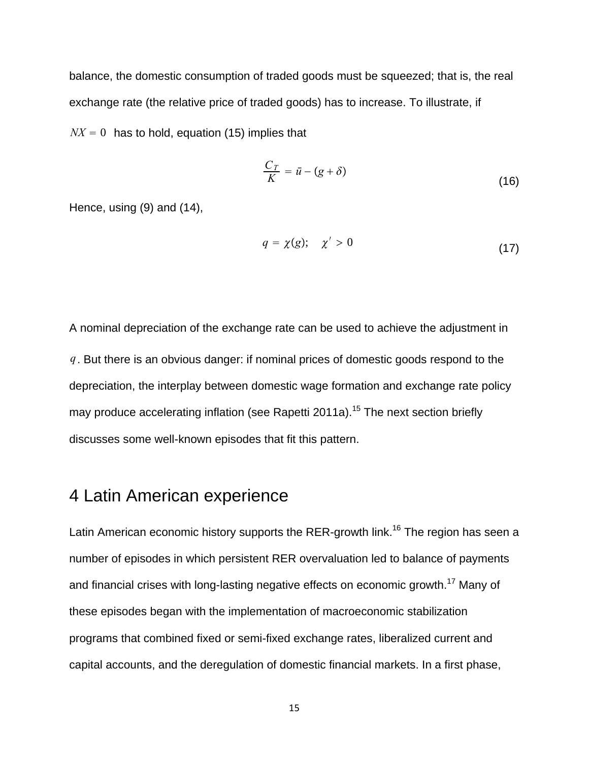balance, the domestic consumption of traded goods must be squeezed; that is, the real exchange rate (the relative price of traded goods) has to increase. To illustrate, if  $NX = 0$  has to hold, equation (15) implies that

$$
\frac{C_T}{K} = \bar{u} - (g + \delta) \tag{16}
$$

Hence, using (9) and (14),

$$
q = \chi(g); \quad \chi' > 0 \tag{17}
$$

A nominal depreciation of the exchange rate can be used to achieve the adjustment in *q*. But there is an obvious danger: if nominal prices of domestic goods respond to the depreciation, the interplay between domestic wage formation and exchange rate policy may produce accelerating inflation (see Rapetti 2011a).<sup>15</sup> The next section briefly discusses some well-known episodes that fit this pattern.

### 4 Latin American experience

Latin American economic history supports the RER-growth link.<sup>16</sup> The region has seen a number of episodes in which persistent RER overvaluation led to balance of payments and financial crises with long-lasting negative effects on economic growth.<sup>17</sup> Many of these episodes began with the implementation of macroeconomic stabilization programs that combined fixed or semi-fixed exchange rates, liberalized current and capital accounts, and the deregulation of domestic financial markets. In a first phase,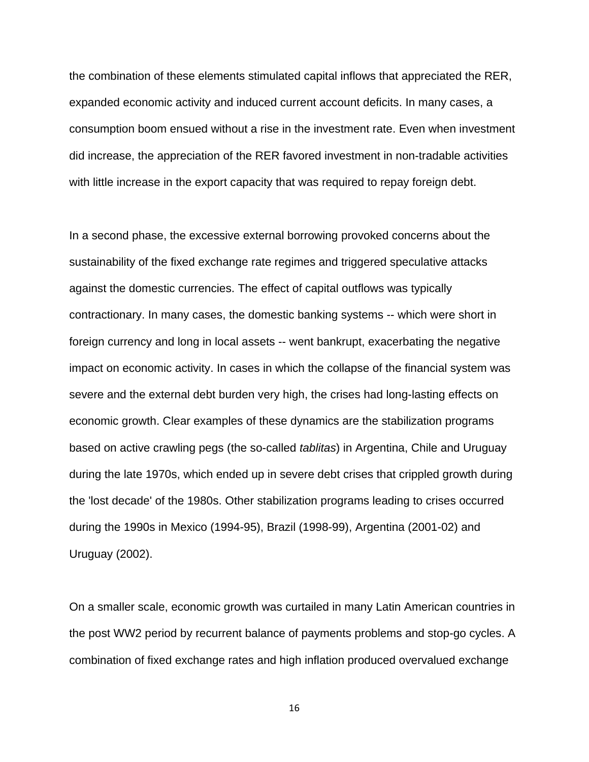the combination of these elements stimulated capital inflows that appreciated the RER, expanded economic activity and induced current account deficits. In many cases, a consumption boom ensued without a rise in the investment rate. Even when investment did increase, the appreciation of the RER favored investment in non-tradable activities with little increase in the export capacity that was required to repay foreign debt.

In a second phase, the excessive external borrowing provoked concerns about the sustainability of the fixed exchange rate regimes and triggered speculative attacks against the domestic currencies. The effect of capital outflows was typically contractionary. In many cases, the domestic banking systems -- which were short in foreign currency and long in local assets -- went bankrupt, exacerbating the negative impact on economic activity. In cases in which the collapse of the financial system was severe and the external debt burden very high, the crises had long-lasting effects on economic growth. Clear examples of these dynamics are the stabilization programs based on active crawling pegs (the so-called *tablitas*) in Argentina, Chile and Uruguay during the late 1970s, which ended up in severe debt crises that crippled growth during the 'lost decade' of the 1980s. Other stabilization programs leading to crises occurred during the 1990s in Mexico (1994-95), Brazil (1998-99), Argentina (2001-02) and Uruguay (2002).

On a smaller scale, economic growth was curtailed in many Latin American countries in the post WW2 period by recurrent balance of payments problems and stop-go cycles. A combination of fixed exchange rates and high inflation produced overvalued exchange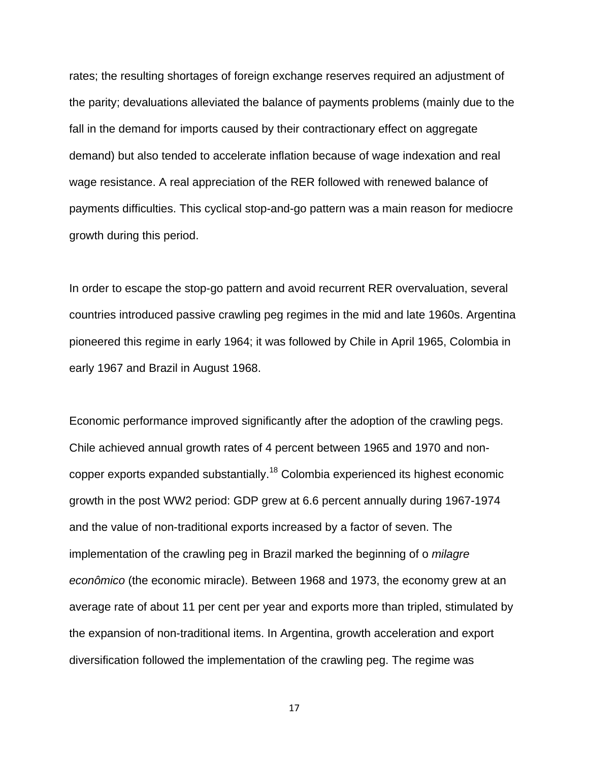rates; the resulting shortages of foreign exchange reserves required an adjustment of the parity; devaluations alleviated the balance of payments problems (mainly due to the fall in the demand for imports caused by their contractionary effect on aggregate demand) but also tended to accelerate inflation because of wage indexation and real wage resistance. A real appreciation of the RER followed with renewed balance of payments difficulties. This cyclical stop-and-go pattern was a main reason for mediocre growth during this period.

In order to escape the stop-go pattern and avoid recurrent RER overvaluation, several countries introduced passive crawling peg regimes in the mid and late 1960s. Argentina pioneered this regime in early 1964; it was followed by Chile in April 1965, Colombia in early 1967 and Brazil in August 1968.

Economic performance improved significantly after the adoption of the crawling pegs. Chile achieved annual growth rates of 4 percent between 1965 and 1970 and noncopper exports expanded substantially.18 Colombia experienced its highest economic growth in the post WW2 period: GDP grew at 6.6 percent annually during 1967-1974 and the value of non-traditional exports increased by a factor of seven. The implementation of the crawling peg in Brazil marked the beginning of o *milagre econômico* (the economic miracle). Between 1968 and 1973, the economy grew at an average rate of about 11 per cent per year and exports more than tripled, stimulated by the expansion of non-traditional items. In Argentina, growth acceleration and export diversification followed the implementation of the crawling peg. The regime was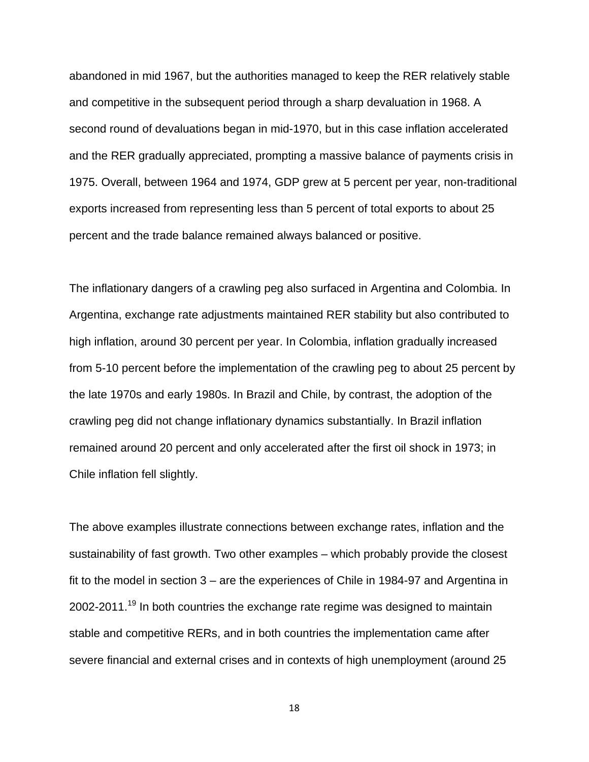abandoned in mid 1967, but the authorities managed to keep the RER relatively stable and competitive in the subsequent period through a sharp devaluation in 1968. A second round of devaluations began in mid-1970, but in this case inflation accelerated and the RER gradually appreciated, prompting a massive balance of payments crisis in 1975. Overall, between 1964 and 1974, GDP grew at 5 percent per year, non-traditional exports increased from representing less than 5 percent of total exports to about 25 percent and the trade balance remained always balanced or positive.

The inflationary dangers of a crawling peg also surfaced in Argentina and Colombia. In Argentina, exchange rate adjustments maintained RER stability but also contributed to high inflation, around 30 percent per year. In Colombia, inflation gradually increased from 5-10 percent before the implementation of the crawling peg to about 25 percent by the late 1970s and early 1980s. In Brazil and Chile, by contrast, the adoption of the crawling peg did not change inflationary dynamics substantially. In Brazil inflation remained around 20 percent and only accelerated after the first oil shock in 1973; in Chile inflation fell slightly.

The above examples illustrate connections between exchange rates, inflation and the sustainability of fast growth. Two other examples – which probably provide the closest fit to the model in section 3 – are the experiences of Chile in 1984-97 and Argentina in  $2002$ -2011.<sup>19</sup> In both countries the exchange rate regime was designed to maintain stable and competitive RERs, and in both countries the implementation came after severe financial and external crises and in contexts of high unemployment (around 25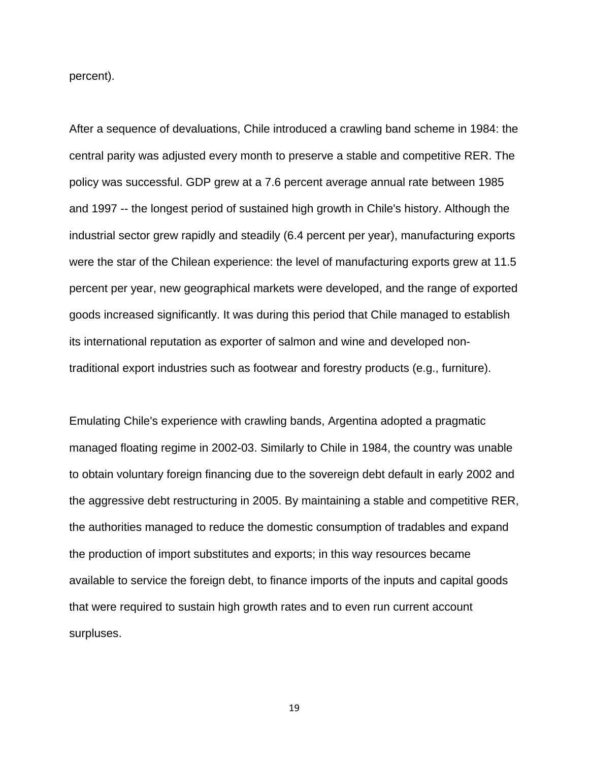percent).

After a sequence of devaluations, Chile introduced a crawling band scheme in 1984: the central parity was adjusted every month to preserve a stable and competitive RER. The policy was successful. GDP grew at a 7.6 percent average annual rate between 1985 and 1997 -- the longest period of sustained high growth in Chile's history. Although the industrial sector grew rapidly and steadily (6.4 percent per year), manufacturing exports were the star of the Chilean experience: the level of manufacturing exports grew at 11.5 percent per year, new geographical markets were developed, and the range of exported goods increased significantly. It was during this period that Chile managed to establish its international reputation as exporter of salmon and wine and developed nontraditional export industries such as footwear and forestry products (e.g., furniture).

Emulating Chile's experience with crawling bands, Argentina adopted a pragmatic managed floating regime in 2002-03. Similarly to Chile in 1984, the country was unable to obtain voluntary foreign financing due to the sovereign debt default in early 2002 and the aggressive debt restructuring in 2005. By maintaining a stable and competitive RER, the authorities managed to reduce the domestic consumption of tradables and expand the production of import substitutes and exports; in this way resources became available to service the foreign debt, to finance imports of the inputs and capital goods that were required to sustain high growth rates and to even run current account surpluses.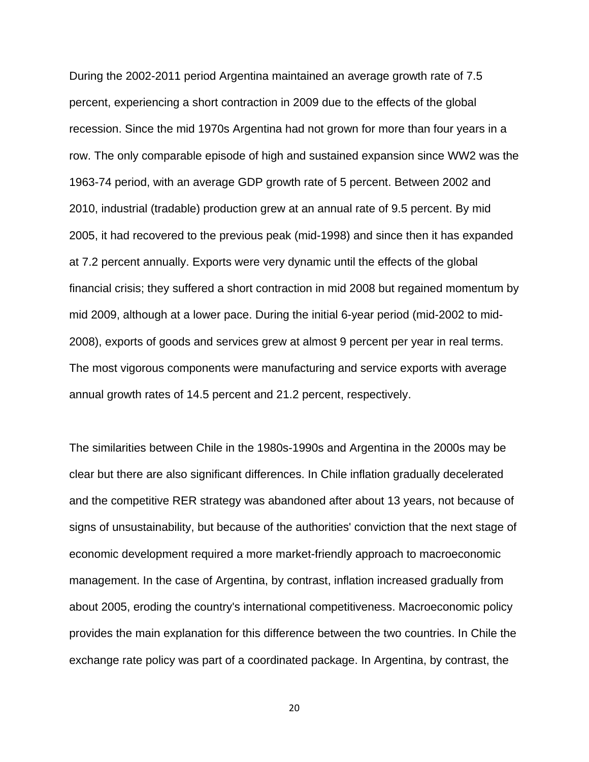During the 2002-2011 period Argentina maintained an average growth rate of 7.5 percent, experiencing a short contraction in 2009 due to the effects of the global recession. Since the mid 1970s Argentina had not grown for more than four years in a row. The only comparable episode of high and sustained expansion since WW2 was the 1963-74 period, with an average GDP growth rate of 5 percent. Between 2002 and 2010, industrial (tradable) production grew at an annual rate of 9.5 percent. By mid 2005, it had recovered to the previous peak (mid-1998) and since then it has expanded at 7.2 percent annually. Exports were very dynamic until the effects of the global financial crisis; they suffered a short contraction in mid 2008 but regained momentum by mid 2009, although at a lower pace. During the initial 6-year period (mid-2002 to mid-2008), exports of goods and services grew at almost 9 percent per year in real terms. The most vigorous components were manufacturing and service exports with average annual growth rates of 14.5 percent and 21.2 percent, respectively.

The similarities between Chile in the 1980s-1990s and Argentina in the 2000s may be clear but there are also significant differences. In Chile inflation gradually decelerated and the competitive RER strategy was abandoned after about 13 years, not because of signs of unsustainability, but because of the authorities' conviction that the next stage of economic development required a more market-friendly approach to macroeconomic management. In the case of Argentina, by contrast, inflation increased gradually from about 2005, eroding the country's international competitiveness. Macroeconomic policy provides the main explanation for this difference between the two countries. In Chile the exchange rate policy was part of a coordinated package. In Argentina, by contrast, the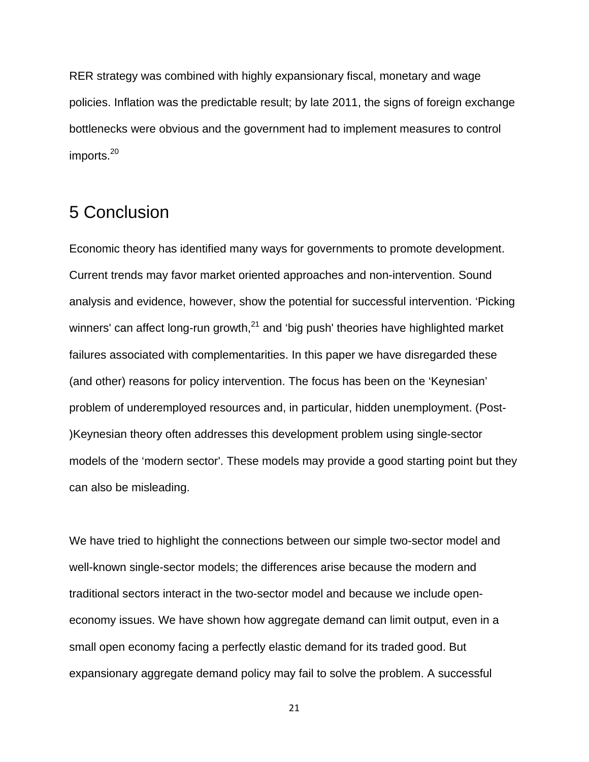RER strategy was combined with highly expansionary fiscal, monetary and wage policies. Inflation was the predictable result; by late 2011, the signs of foreign exchange bottlenecks were obvious and the government had to implement measures to control imports.<sup>20</sup>

## 5 Conclusion

Economic theory has identified many ways for governments to promote development. Current trends may favor market oriented approaches and non-intervention. Sound analysis and evidence, however, show the potential for successful intervention. 'Picking winners' can affect long-run growth, $^{21}$  and 'big push' theories have highlighted market failures associated with complementarities. In this paper we have disregarded these (and other) reasons for policy intervention. The focus has been on the 'Keynesian' problem of underemployed resources and, in particular, hidden unemployment. (Post- )Keynesian theory often addresses this development problem using single-sector models of the 'modern sector'. These models may provide a good starting point but they can also be misleading.

We have tried to highlight the connections between our simple two-sector model and well-known single-sector models; the differences arise because the modern and traditional sectors interact in the two-sector model and because we include openeconomy issues. We have shown how aggregate demand can limit output, even in a small open economy facing a perfectly elastic demand for its traded good. But expansionary aggregate demand policy may fail to solve the problem. A successful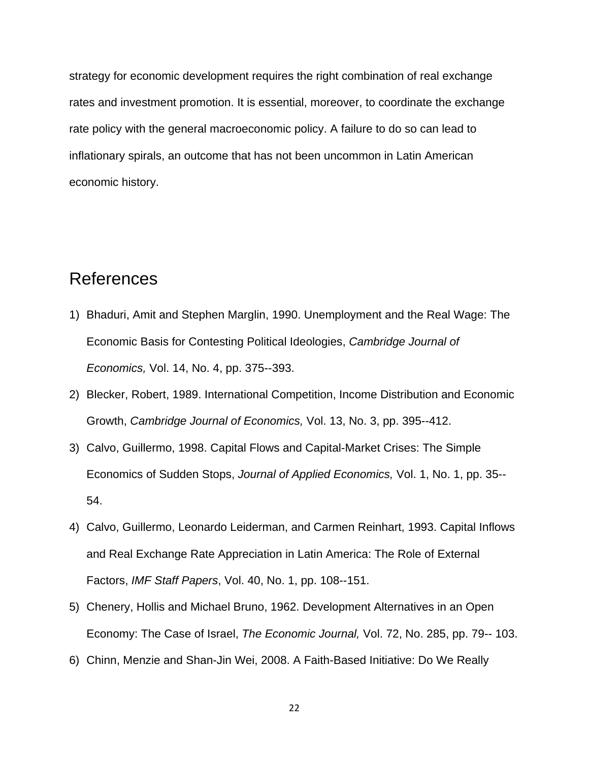strategy for economic development requires the right combination of real exchange rates and investment promotion. It is essential, moreover, to coordinate the exchange rate policy with the general macroeconomic policy. A failure to do so can lead to inflationary spirals, an outcome that has not been uncommon in Latin American economic history.

## References

- 1) Bhaduri, Amit and Stephen Marglin, 1990. Unemployment and the Real Wage: The Economic Basis for Contesting Political Ideologies, *Cambridge Journal of Economics,* Vol. 14, No. 4, pp. 375--393.
- 2) Blecker, Robert, 1989. International Competition, Income Distribution and Economic Growth, *Cambridge Journal of Economics,* Vol. 13, No. 3, pp. 395--412.
- 3) Calvo, Guillermo, 1998. Capital Flows and Capital-Market Crises: The Simple Economics of Sudden Stops, *Journal of Applied Economics,* Vol. 1, No. 1, pp. 35-- 54.
- 4) Calvo, Guillermo, Leonardo Leiderman, and Carmen Reinhart, 1993. Capital Inflows and Real Exchange Rate Appreciation in Latin America: The Role of External Factors, *IMF Staff Papers*, Vol. 40, No. 1, pp. 108--151.
- 5) Chenery, Hollis and Michael Bruno, 1962. Development Alternatives in an Open Economy: The Case of Israel, *The Economic Journal,* Vol. 72, No. 285, pp. 79-- 103.
- 6) Chinn, Menzie and Shan-Jin Wei, 2008. A Faith-Based Initiative: Do We Really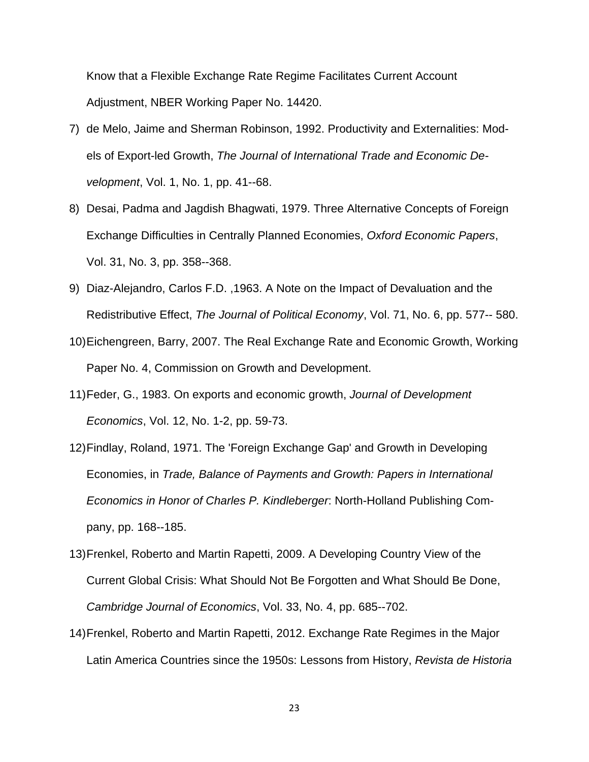Know that a Flexible Exchange Rate Regime Facilitates Current Account Adjustment, NBER Working Paper No. 14420.

- 7) de Melo, Jaime and Sherman Robinson, 1992. Productivity and Externalities: Models of Export-led Growth, *The Journal of International Trade and Economic Development*, Vol. 1, No. 1, pp. 41--68.
- 8) Desai, Padma and Jagdish Bhagwati, 1979. Three Alternative Concepts of Foreign Exchange Difficulties in Centrally Planned Economies, *Oxford Economic Papers*, Vol. 31, No. 3, pp. 358--368.
- 9) Diaz-Alejandro, Carlos F.D. ,1963. A Note on the Impact of Devaluation and the Redistributive Effect, *The Journal of Political Economy*, Vol. 71, No. 6, pp. 577-- 580.
- 10) Eichengreen, Barry, 2007. The Real Exchange Rate and Economic Growth, Working Paper No. 4, Commission on Growth and Development.
- 11) Feder, G., 1983. On exports and economic growth, *Journal of Development Economics*, Vol. 12, No. 1-2, pp. 59-73.
- 12) Findlay, Roland, 1971. The 'Foreign Exchange Gap' and Growth in Developing Economies, in *Trade, Balance of Payments and Growth: Papers in International Economics in Honor of Charles P. Kindleberger*: North-Holland Publishing Company, pp. 168--185.
- 13) Frenkel, Roberto and Martin Rapetti, 2009. A Developing Country View of the Current Global Crisis: What Should Not Be Forgotten and What Should Be Done, *Cambridge Journal of Economics*, Vol. 33, No. 4, pp. 685--702.
- 14) Frenkel, Roberto and Martin Rapetti, 2012. Exchange Rate Regimes in the Major Latin America Countries since the 1950s: Lessons from History, *Revista de Historia*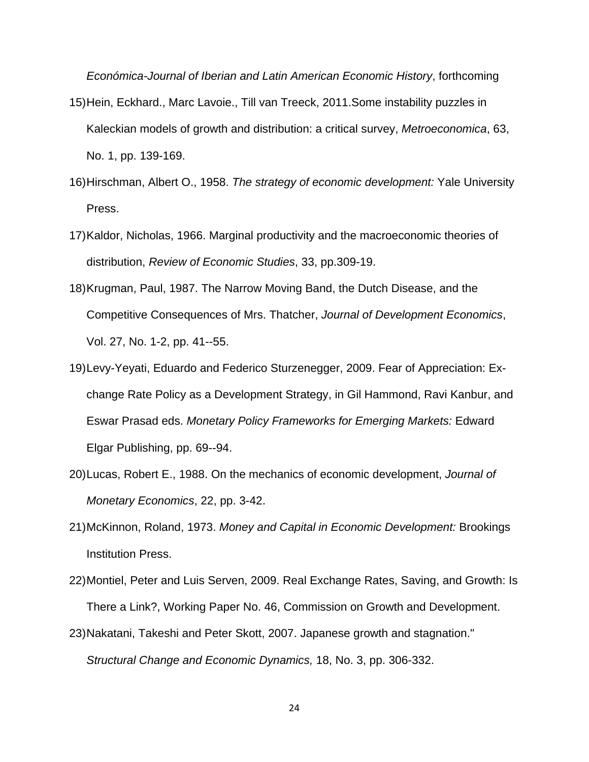*Económica-Journal of Iberian and Latin American Economic History*, forthcoming

- 15) Hein, Eckhard., Marc Lavoie., Till van Treeck, 2011.Some instability puzzles in Kaleckian models of growth and distribution: a critical survey, *Metroeconomica*, 63, No. 1, pp. 139-169.
- 16) Hirschman, Albert O., 1958. *The strategy of economic development:* Yale University Press.
- 17) Kaldor, Nicholas, 1966. Marginal productivity and the macroeconomic theories of distribution, *Review of Economic Studies*, 33, pp.309-19.
- 18) Krugman, Paul, 1987. The Narrow Moving Band, the Dutch Disease, and the Competitive Consequences of Mrs. Thatcher, *Journal of Development Economics*, Vol. 27, No. 1-2, pp. 41--55.
- 19) Levy-Yeyati, Eduardo and Federico Sturzenegger, 2009. Fear of Appreciation: Exchange Rate Policy as a Development Strategy, in Gil Hammond, Ravi Kanbur, and Eswar Prasad eds. *Monetary Policy Frameworks for Emerging Markets:* Edward Elgar Publishing, pp. 69--94.
- 20) Lucas, Robert E., 1988. On the mechanics of economic development, *Journal of Monetary Economics*, 22, pp. 3-42.
- 21) McKinnon, Roland, 1973. *Money and Capital in Economic Development:* Brookings Institution Press.
- 22) Montiel, Peter and Luis Serven, 2009. Real Exchange Rates, Saving, and Growth: Is There a Link?, Working Paper No. 46, Commission on Growth and Development.
- 23) Nakatani, Takeshi and Peter Skott, 2007. Japanese growth and stagnation." *Structural Change and Economic Dynamics,* 18, No. 3, pp. 306-332.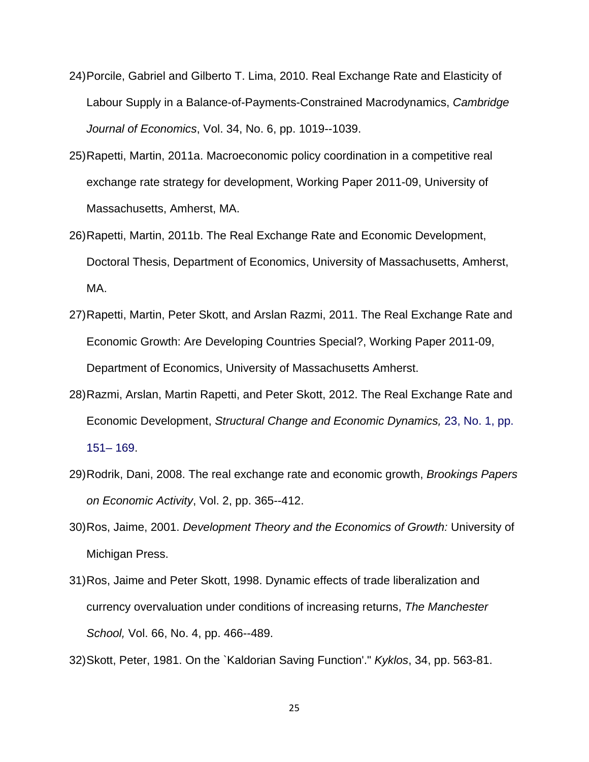- 24) Porcile, Gabriel and Gilberto T. Lima, 2010. Real Exchange Rate and Elasticity of Labour Supply in a Balance-of-Payments-Constrained Macrodynamics, *Cambridge Journal of Economics*, Vol. 34, No. 6, pp. 1019--1039.
- 25) Rapetti, Martin, 2011a. Macroeconomic policy coordination in a competitive real exchange rate strategy for development, Working Paper 2011-09, University of Massachusetts, Amherst, MA.
- 26) Rapetti, Martin, 2011b. The Real Exchange Rate and Economic Development, Doctoral Thesis, Department of Economics, University of Massachusetts, Amherst, MA.
- 27) Rapetti, Martin, Peter Skott, and Arslan Razmi, 2011. The Real Exchange Rate and Economic Growth: Are Developing Countries Special?, Working Paper 2011-09, Department of Economics, University of Massachusetts Amherst.
- 28) Razmi, Arslan, Martin Rapetti, and Peter Skott, 2012. The Real Exchange Rate and Economic Development, *Structural Change and Economic Dynamics,* 23, No. 1, pp. 151– 169.
- 29) Rodrik, Dani, 2008. The real exchange rate and economic growth, *Brookings Papers on Economic Activity*, Vol. 2, pp. 365--412.
- 30) Ros, Jaime, 2001. *Development Theory and the Economics of Growth:* University of Michigan Press.
- 31) Ros, Jaime and Peter Skott, 1998. Dynamic effects of trade liberalization and currency overvaluation under conditions of increasing returns, *The Manchester School,* Vol. 66, No. 4, pp. 466--489.
- 32) Skott, Peter, 1981. On the `Kaldorian Saving Function'." *Kyklos*, 34, pp. 563-81.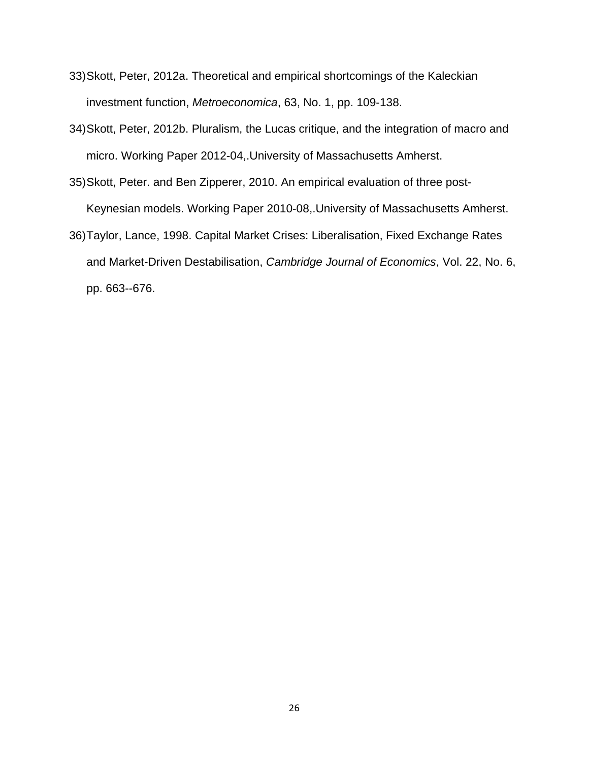- 33) Skott, Peter, 2012a. Theoretical and empirical shortcomings of the Kaleckian investment function, *Metroeconomica*, 63, No. 1, pp. 109-138.
- 34) Skott, Peter, 2012b. Pluralism, the Lucas critique, and the integration of macro and micro. Working Paper 2012-04,.University of Massachusetts Amherst.
- 35) Skott, Peter. and Ben Zipperer, 2010. An empirical evaluation of three post-Keynesian models. Working Paper 2010-08,.University of Massachusetts Amherst.
- 36) Taylor, Lance, 1998. Capital Market Crises: Liberalisation, Fixed Exchange Rates and Market-Driven Destabilisation, *Cambridge Journal of Economics*, Vol. 22, No. 6, pp. 663--676.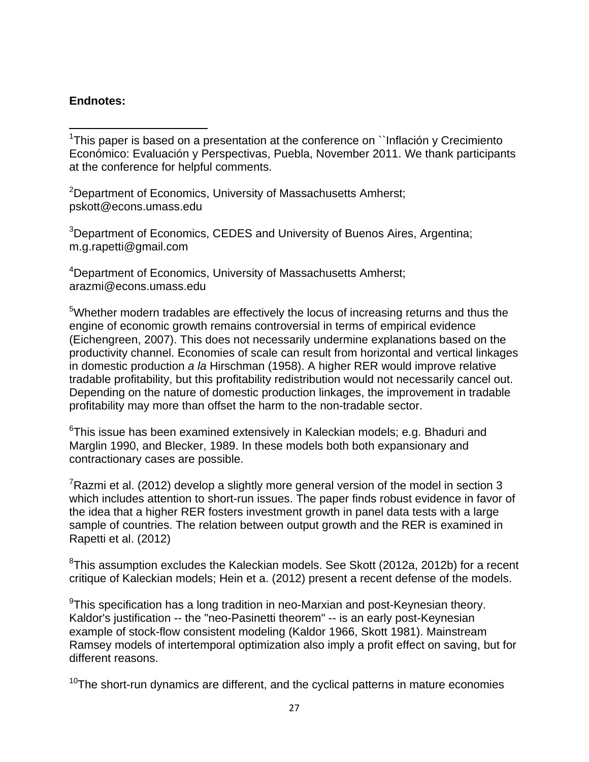#### **Endnotes:**

 <sup>1</sup>This paper is based on a presentation at the conference on ``Inflación y Crecimiento Económico: Evaluación y Perspectivas, Puebla, November 2011. We thank participants at the conference for helpful comments.

<sup>2</sup>Department of Economics, University of Massachusetts Amherst; pskott@econs.umass.edu

<sup>3</sup>Department of Economics, CEDES and University of Buenos Aires, Argentina; m.g.rapetti@gmail.com

<sup>4</sup>Department of Economics, University of Massachusetts Amherst; arazmi@econs.umass.edu

<sup>5</sup>Whether modern tradables are effectively the locus of increasing returns and thus the engine of economic growth remains controversial in terms of empirical evidence (Eichengreen, 2007). This does not necessarily undermine explanations based on the productivity channel. Economies of scale can result from horizontal and vertical linkages in domestic production *a la* Hirschman (1958). A higher RER would improve relative tradable profitability, but this profitability redistribution would not necessarily cancel out. Depending on the nature of domestic production linkages, the improvement in tradable profitability may more than offset the harm to the non-tradable sector.

 $6$ This issue has been examined extensively in Kaleckian models; e.g. Bhaduri and Marglin 1990, and Blecker, 1989. In these models both both expansionary and contractionary cases are possible.

 $7$ Razmi et al. (2012) develop a slightly more general version of the model in section 3 which includes attention to short-run issues. The paper finds robust evidence in favor of the idea that a higher RER fosters investment growth in panel data tests with a large sample of countries. The relation between output growth and the RER is examined in Rapetti et al. (2012)

 $8$ This assumption excludes the Kaleckian models. See Skott (2012a, 2012b) for a recent critique of Kaleckian models; Hein et a. (2012) present a recent defense of the models.

 $9$ This specification has a long tradition in neo-Marxian and post-Keynesian theory. Kaldor's justification -- the "neo-Pasinetti theorem" -- is an early post-Keynesian example of stock-flow consistent modeling (Kaldor 1966, Skott 1981). Mainstream Ramsey models of intertemporal optimization also imply a profit effect on saving, but for different reasons.

 $10$ The short-run dynamics are different, and the cyclical patterns in mature economies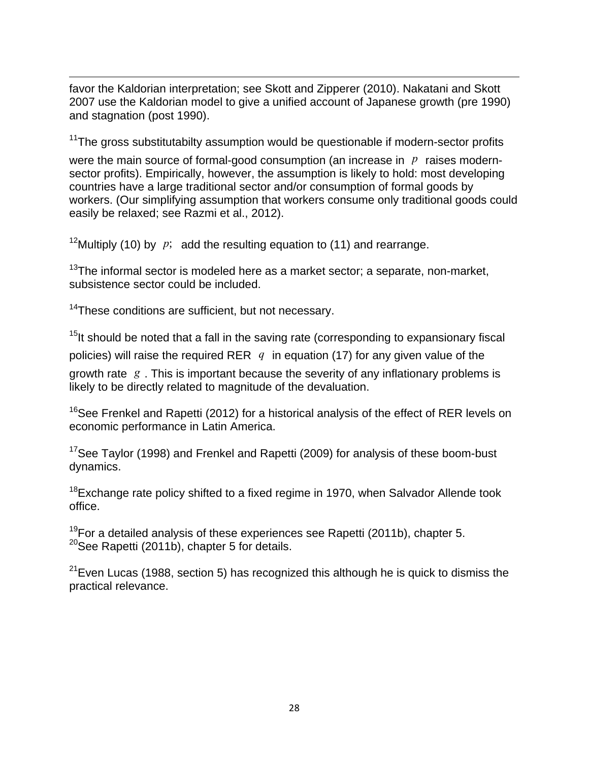<u> Andrewski politika (za obrazu za obrazu za obrazu za obrazu za obrazu za obrazu za obrazu za obrazu za obrazu</u> favor the Kaldorian interpretation; see Skott and Zipperer (2010). Nakatani and Skott 2007 use the Kaldorian model to give a unified account of Japanese growth (pre 1990) and stagnation (post 1990).

 $11$ The gross substitutabilty assumption would be questionable if modern-sector profits

were the main source of formal-good consumption (an increase in *p* raises modernsector profits). Empirically, however, the assumption is likely to hold: most developing countries have a large traditional sector and/or consumption of formal goods by workers. (Our simplifying assumption that workers consume only traditional goods could easily be relaxed; see Razmi et al., 2012).

<sup>12</sup>Multiply (10) by  $p$ ; add the resulting equation to (11) and rearrange.

 $13$ The informal sector is modeled here as a market sector; a separate, non-market, subsistence sector could be included.

<sup>14</sup>These conditions are sufficient, but not necessary.

 $15$ It should be noted that a fall in the saving rate (corresponding to expansionary fiscal policies) will raise the required RER *q* in equation (17) for any given value of the growth rate *g* . This is important because the severity of any inflationary problems is likely to be directly related to magnitude of the devaluation.

<sup>16</sup>See Frenkel and Rapetti (2012) for a historical analysis of the effect of RER levels on economic performance in Latin America.

<sup>17</sup>See Taylor (1998) and Frenkel and Rapetti (2009) for analysis of these boom-bust dynamics.

 $18$ Exchange rate policy shifted to a fixed regime in 1970, when Salvador Allende took office.

 $19$ For a detailed analysis of these experiences see Rapetti (2011b), chapter 5.  $20$ See Rapetti (2011b), chapter 5 for details.

 $21$ Even Lucas (1988, section 5) has recognized this although he is quick to dismiss the practical relevance.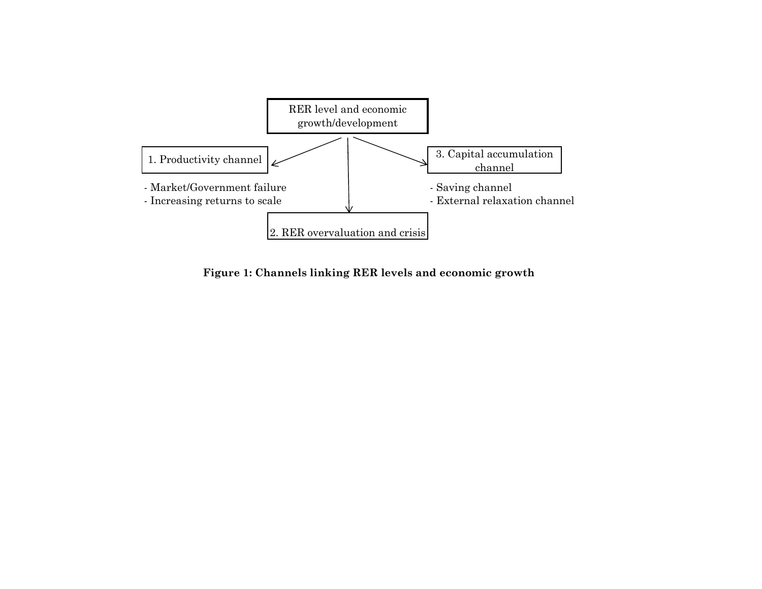

**Figure 1: Channels linking RER levels and economic growth**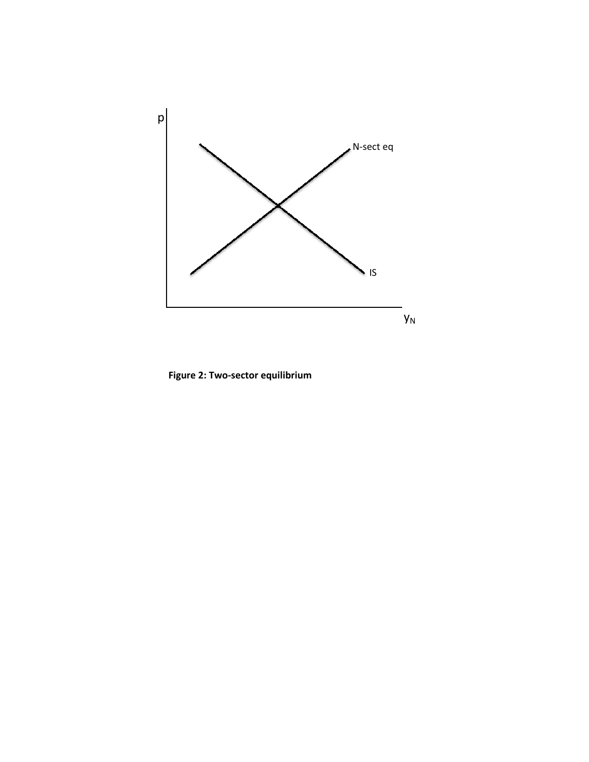

**Figure 2: Two‐sector equilibrium**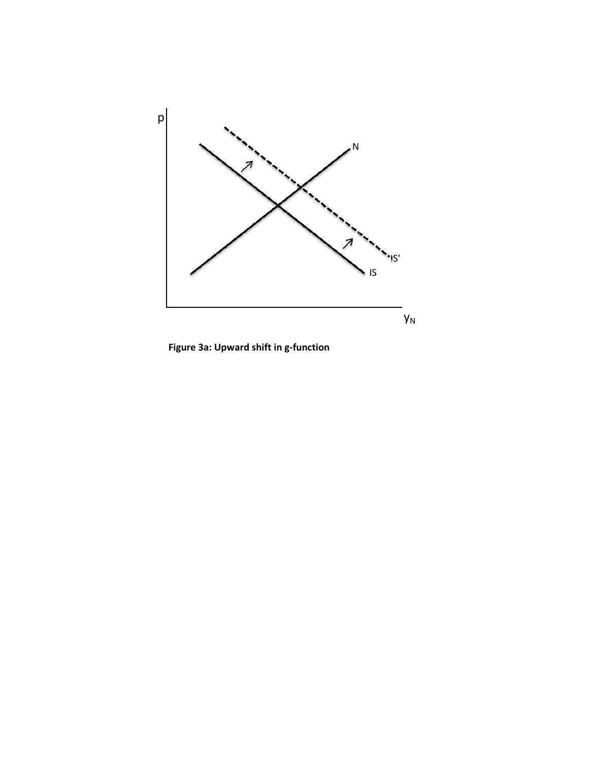

**Figure 3a: Upward shift in g‐function**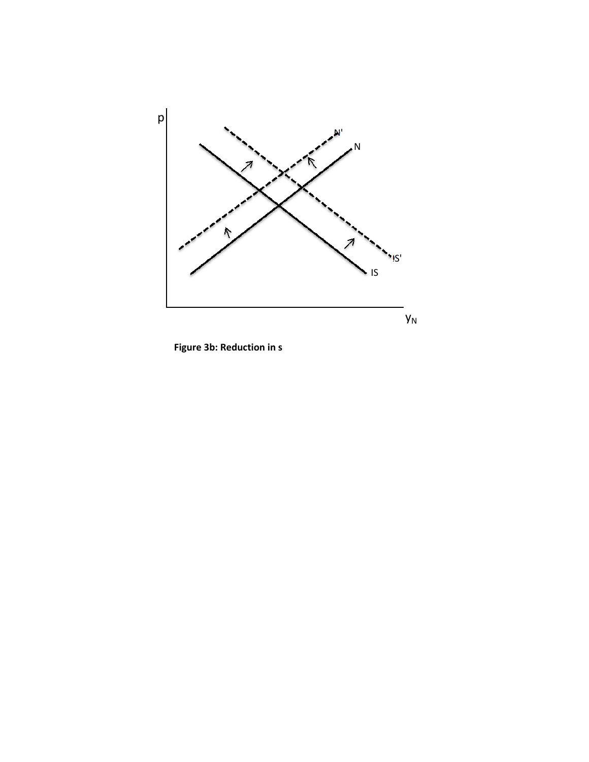

**Figure 3b: Reduction in s**